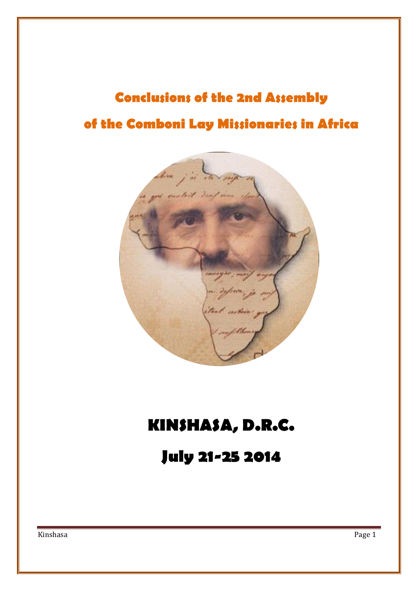# **Conclusions of the 2nd Assembly of the Comboni Lay Missionaries in Africa**



## **KINSHASA, D.R.C.**

**July 21-25 2014**

Kinshasa Page 1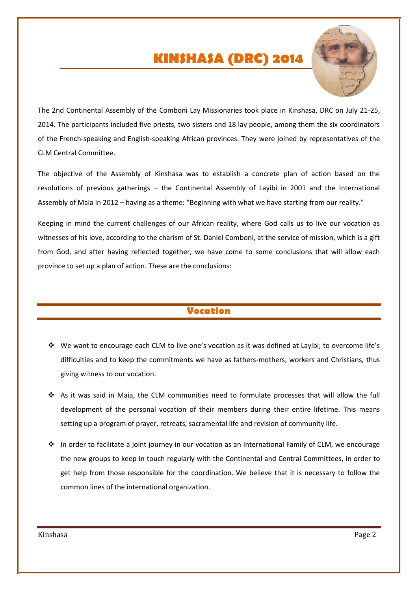## **KINSHASA (DRC) 2014**



The 2nd Continental Assembly of the Comboni Lay Missionaries took place in Kinshasa, DRC on July 21-25, 2014. The participants included five priests, two sisters and 18 lay people, among them the six coordinators of the French-speaking and English-speaking African provinces. They were joined by representatives of the CLM Central Committee.

The objective of the Assembly of Kinshasa was to establish a concrete plan of action based on the resolutions of previous gatherings – the Continental Assembly of Layibi in 2001 and the International Assembly of Maia in 2012 – having as a theme: "Beginning with what we have starting from our reality."

Keeping in mind the current challenges of our African reality, where God calls us to live our vocation as witnesses of his love, according to the charism of St. Daniel Comboni, at the service of mission, which is a gift from God, and after having reflected together, we have come to some conclusions that will allow each province to set up a plan of action. These are the conclusions:

### **Vocation**

- $\clubsuit$  We want to encourage each CLM to live one's vocation as it was defined at Layibi; to overcome life's difficulties and to keep the commitments we have as fathers-mothers, workers and Christians, thus giving witness to our vocation.
- As it was said in Maia, the CLM communities need to formulate processes that will allow the full development of the personal vocation of their members during their entire lifetime. This means setting up a program of prayer, retreats, sacramental life and revision of community life.
- In order to facilitate a joint journey in our vocation as an International Family of CLM, we encourage the new groups to keep in touch regularly with the Continental and Central Committees, in order to get help from those responsible for the coordination. We believe that it is necessary to follow the common lines of the international organization.

Kinshasa Page 2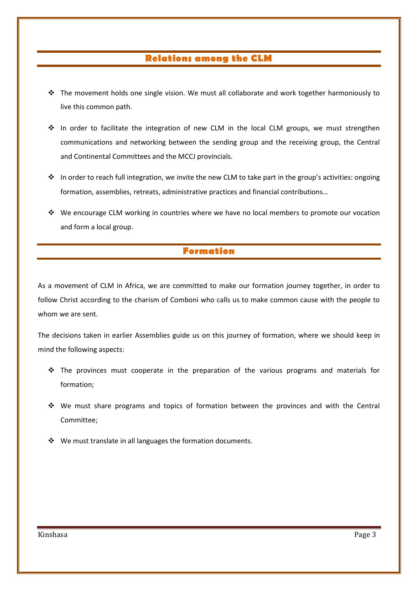## **Relations among the CLM**

- $\div$  The movement holds one single vision. We must all collaborate and work together harmoniously to live this common path.
- $\div$  In order to facilitate the integration of new CLM in the local CLM groups, we must strengthen communications and networking between the sending group and the receiving group, the Central and Continental Committees and the MCCJ provincials.
- In order to reach full integration, we invite the new CLM to take part in the group's activities: ongoing formation, assemblies, retreats, administrative practices and financial contributions…
- \* We encourage CLM working in countries where we have no local members to promote our vocation and form a local group.

### **Formation**

As a movement of CLM in Africa, we are committed to make our formation journey together, in order to follow Christ according to the charism of Comboni who calls us to make common cause with the people to whom we are sent.

The decisions taken in earlier Assemblies guide us on this journey of formation, where we should keep in mind the following aspects:

- $\cdot \cdot$  The provinces must cooperate in the preparation of the various programs and materials for formation;
- $\div$  We must share programs and topics of formation between the provinces and with the Central Committee;
- ❖ We must translate in all languages the formation documents.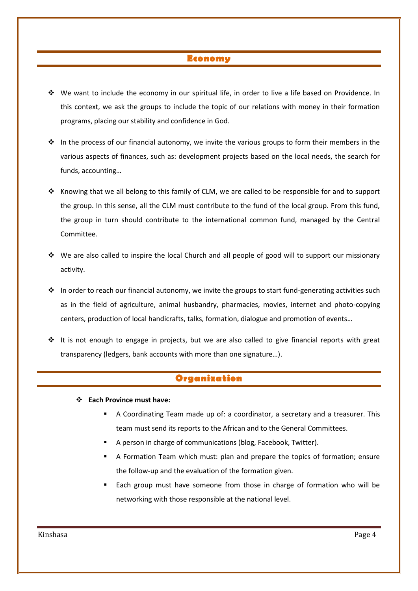#### **Economy**

- We want to include the economy in our spiritual life, in order to live a life based on Providence. In this context, we ask the groups to include the topic of our relations with money in their formation programs, placing our stability and confidence in God.
- $\div$  In the process of our financial autonomy, we invite the various groups to form their members in the various aspects of finances, such as: development projects based on the local needs, the search for funds, accounting…
- \* Knowing that we all belong to this family of CLM, we are called to be responsible for and to support the group. In this sense, all the CLM must contribute to the fund of the local group. From this fund, the group in turn should contribute to the international common fund, managed by the Central Committee.
- $\cdot \cdot$  We are also called to inspire the local Church and all people of good will to support our missionary activity.
- $\cdot \cdot$  In order to reach our financial autonomy, we invite the groups to start fund-generating activities such as in the field of agriculture, animal husbandry, pharmacies, movies, internet and photo-copying centers, production of local handicrafts, talks, formation, dialogue and promotion of events…
- $\div$  It is not enough to engage in projects, but we are also called to give financial reports with great transparency (ledgers, bank accounts with more than one signature…).

#### **Organization**

- **Each Province must have:**
	- A Coordinating Team made up of: a coordinator, a secretary and a treasurer. This team must send its reports to the African and to the General Committees.
	- A person in charge of communications (blog, Facebook, Twitter).
	- A Formation Team which must: plan and prepare the topics of formation; ensure the follow-up and the evaluation of the formation given.
	- Each group must have someone from those in charge of formation who will be networking with those responsible at the national level.

Kinshasa Page 4